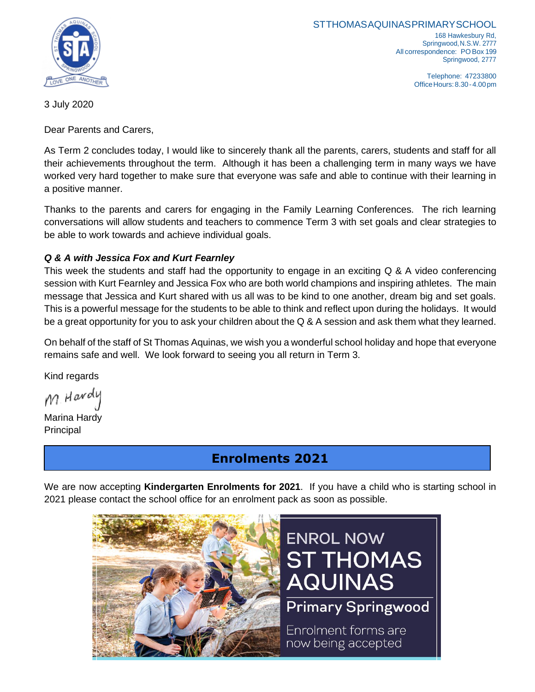

**STTHOMASAQUINASPRIMARYSCHOOL** 168 Hawkesbury Rd, Springwood,N.S.W. 2777 All correspondence: PO Box 199 Springwood, 2777

> Telephone: 47233800 OfficeHours:8.30-4.00pm

3 July 2020

Dear Parents and Carers,

As Term 2 concludes today, I would like to sincerely thank all the parents, carers, students and staff for all their achievements throughout the term. Although it has been a challenging term in many ways we have worked very hard together to make sure that everyone was safe and able to continue with their learning in a positive manner.

Thanks to the parents and carers for engaging in the Family Learning Conferences. The rich learning conversations will allow students and teachers to commence Term 3 with set goals and clear strategies to be able to work towards and achieve individual goals.

### *Q & A with Jessica Fox and Kurt Fearnley*

This week the students and staff had the opportunity to engage in an exciting Q & A video conferencing session with Kurt Fearnley and Jessica Fox who are both world champions and inspiring athletes. The main message that Jessica and Kurt shared with us all was to be kind to one another, dream big and set goals. This is a powerful message for the students to be able to think and reflect upon during the holidays. It would be a great opportunity for you to ask your children about the Q & A session and ask them what they learned.

On behalf of the staff of St Thomas Aquinas, we wish you a wonderful school holiday and hope that everyone remains safe and well. We look forward to seeing you all return in Term 3.

Kind regards

M. Hardu

Marina Hardy Principal

## **Enrolments 2021**

We are now accepting **Kindergarten Enrolments for 2021**. If you have a child who is starting school in 2021 please contact the school office for an enrolment pack as soon as possible.

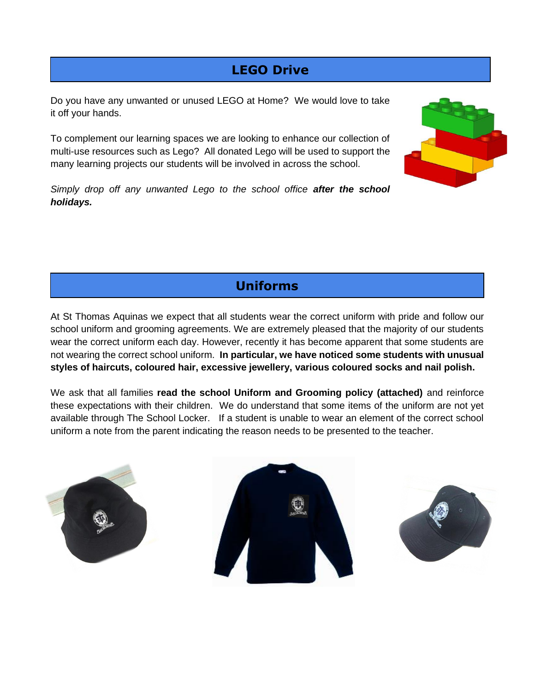# **LEGO Drive**

Do you have any unwanted or unused LEGO at Home? We would love to take it off your hands.

To complement our learning spaces we are looking to enhance our collection of multi-use resources such as Lego? All donated Lego will be used to support the many learning projects our students will be involved in across the school.



*Simply drop off any unwanted Lego to the school office after the school holidays.* 

**Uniforms**

At St Thomas Aquinas we expect that all students wear the correct uniform with pride and follow our school uniform and grooming agreements. We are extremely pleased that the majority of our students wear the correct uniform each day. However, recently it has become apparent that some students are not wearing the correct school uniform. **In particular, we have noticed some students with unusual styles of haircuts, coloured hair, excessive jewellery, various coloured socks and nail polish.** 

We ask that all families **read the school Uniform and Grooming policy (attached)** and reinforce these expectations with their children. We do understand that some items of the uniform are not yet available through The School Locker. If a student is unable to wear an element of the correct school uniform a note from the parent indicating the reason needs to be presented to the teacher.





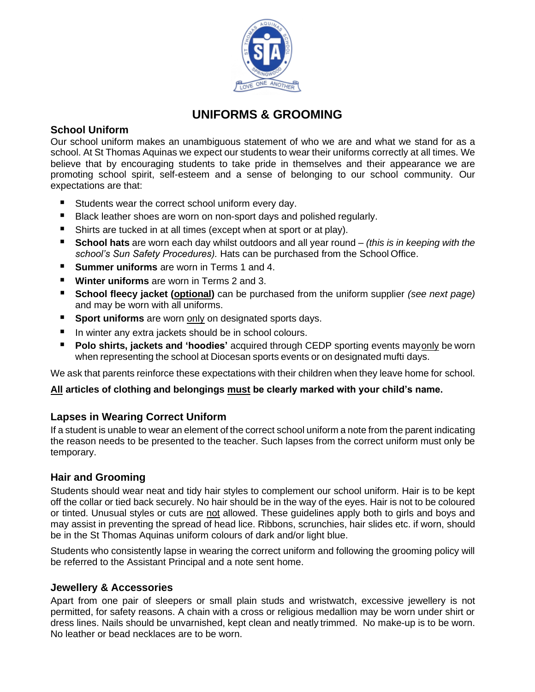

## **UNIFORMS & GROOMING**

### **School Uniform**

Our school uniform makes an unambiguous statement of who we are and what we stand for as a school. At St Thomas Aquinas we expect our students to wear their uniforms correctly at all times. We believe that by encouraging students to take pride in themselves and their appearance we are promoting school spirit, self-esteem and a sense of belonging to our school community. Our expectations are that:

- Students wear the correct school uniform every day.
- Black leather shoes are worn on non-sport days and polished regularly.
- Shirts are tucked in at all times (except when at sport or at play).
- **School hats** are worn each day whilst outdoors and all year round *(this is in keeping with the school's Sun Safety Procedures).* Hats can be purchased from the School Office.
- **Summer uniforms** are worn in Terms 1 and 4.
- **Winter uniforms** are worn in Terms 2 and 3.
- **School fleecy jacket (optional)** can be purchased from the uniform supplier *(see next page)* and may be worn with all uniforms.
- **Sport uniforms** are worn only on designated sports days.
- In winter any extra jackets should be in school colours.
- **Polo shirts, jackets and 'hoodies'** acquired through CEDP sporting events mayonly be worn when representing the school at Diocesan sports events or on designated mufti days.

We ask that parents reinforce these expectations with their children when they leave home for school.

#### **All articles of clothing and belongings must be clearly marked with your child's name.**

### **Lapses in Wearing Correct Uniform**

If a student is unable to wear an element of the correct school uniform a note from the parent indicating the reason needs to be presented to the teacher. Such lapses from the correct uniform must only be temporary.

### **Hair and Grooming**

Students should wear neat and tidy hair styles to complement our school uniform. Hair is to be kept off the collar or tied back securely. No hair should be in the way of the eyes. Hair is not to be coloured or tinted. Unusual styles or cuts are not allowed. These guidelines apply both to girls and boys and may assist in preventing the spread of head lice. Ribbons, scrunchies, hair slides etc. if worn, should be in the St Thomas Aquinas uniform colours of dark and/or light blue.

Students who consistently lapse in wearing the correct uniform and following the grooming policy will be referred to the Assistant Principal and a note sent home.

### **Jewellery & Accessories**

Apart from one pair of sleepers or small plain studs and wristwatch, excessive jewellery is not permitted, for safety reasons. A chain with a cross or religious medallion may be worn under shirt or dress lines. Nails should be unvarnished, kept clean and neatly trimmed. No make-up is to be worn. No leather or bead necklaces are to be worn.